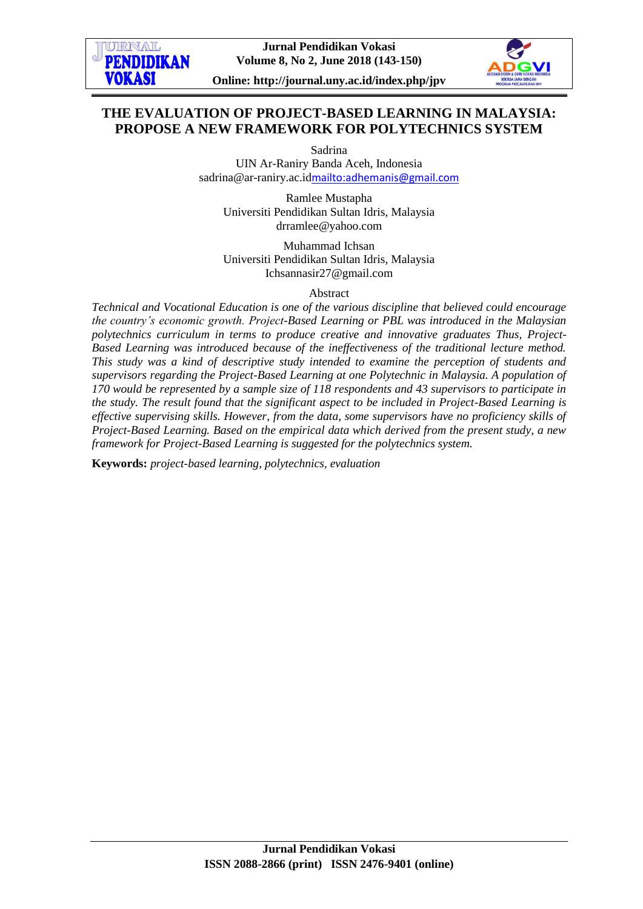

**Online: http://journal.uny.ac.id/index.php/jpv**

# **THE EVALUATION OF PROJECT-BASED LEARNING IN MALAYSIA: PROPOSE A NEW FRAMEWORK FOR POLYTECHNICS SYSTEM**

Sadrina

UIN Ar-Raniry Banda Aceh, Indonesia sadrina@ar-raniry.ac.id<mailto:adhemanis@gmail.com>

Ramlee Mustapha Universiti Pendidikan Sultan Idris, Malaysia [drramlee@yahoo.com](mailto:drramlee@yahoo.com)

Muhammad Ichsan Universiti Pendidikan Sultan Idris, Malaysia Ichsannasir27@gmail.com

Abstract

*Technical and Vocational Education is one of the various discipline that believed could encourage the country's economic growth. Project-Based Learning or PBL was introduced in the Malaysian polytechnics curriculum in terms to produce creative and innovative graduates Thus, Project-Based Learning was introduced because of the ineffectiveness of the traditional lecture method. This study was a kind of descriptive study intended to examine the perception of students and supervisors regarding the Project-Based Learning at one Polytechnic in Malaysia. A population of 170 would be represented by a sample size of 118 respondents and 43 supervisors to participate in the study. The result found that the significant aspect to be included in Project-Based Learning is effective supervising skills. However, from the data, some supervisors have no proficiency skills of Project-Based Learning. Based on the empirical data which derived from the present study, a new framework for Project-Based Learning is suggested for the polytechnics system.* 

**Keywords:** *project-based learning, polytechnics, evaluation*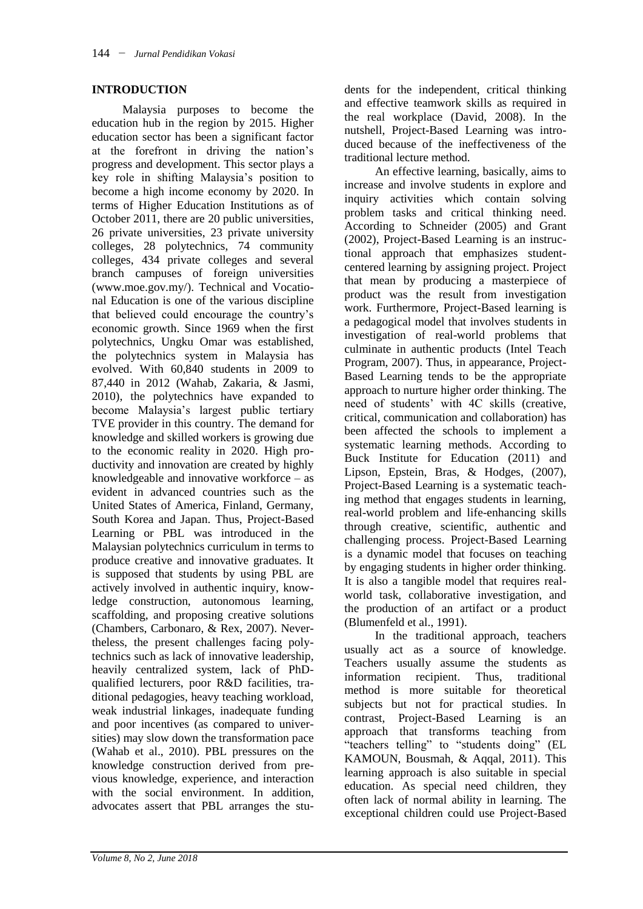### **INTRODUCTION**

Malaysia purposes to become the education hub in the region by 2015. Higher education sector has been a significant factor at the forefront in driving the nation's progress and development. This sector plays a key role in shifting Malaysia's position to become a high income economy by 2020. In terms of Higher Education Institutions as of October 2011, there are 20 public universities, 26 private universities, 23 private university colleges, 28 polytechnics, 74 community colleges, 434 private colleges and several branch campuses of foreign universities [\(www.moe.gov.my/\)](http://www.moe.gov.my/). Technical and Vocational Education is one of the various discipline that believed could encourage the country's economic growth. Since 1969 when the first polytechnics, Ungku Omar was established, the polytechnics system in Malaysia has evolved. With 60,840 students in 2009 to 87,440 in 2012 (Wahab, Zakaria, & Jasmi, 2010), the polytechnics have expanded to become Malaysia's largest public tertiary TVE provider in this country. The demand for knowledge and skilled workers is growing due to the economic reality in 2020. High productivity and innovation are created by highly knowledgeable and innovative workforce – as evident in advanced countries such as the United States of America, Finland, Germany, South Korea and Japan. Thus, Project-Based Learning or PBL was introduced in the Malaysian polytechnics curriculum in terms to produce creative and innovative graduates. It is supposed that students by using PBL are actively involved in authentic inquiry, knowledge construction, autonomous learning, scaffolding, and proposing creative solutions (Chambers, Carbonaro, & Rex, 2007). Nevertheless, the present challenges facing polytechnics such as lack of innovative leadership, heavily centralized system, lack of PhDqualified lecturers, poor R&D facilities, traditional pedagogies, heavy teaching workload, weak industrial linkages, inadequate funding and poor incentives (as compared to universities) may slow down the transformation pace (Wahab et al., 2010). PBL pressures on the knowledge construction derived from previous knowledge, experience, and interaction with the social environment. In addition, advocates assert that PBL arranges the students for the independent, critical thinking and effective teamwork skills as required in the real workplace (David, 2008). In the nutshell, Project-Based Learning was introduced because of the ineffectiveness of the traditional lecture method.

An effective learning, basically, aims to increase and involve students in explore and inquiry activities which contain solving problem tasks and critical thinking need. According to Schneider (2005) and Grant (2002), Project-Based Learning is an instructional approach that emphasizes studentcentered learning by assigning project. Project that mean by producing a masterpiece of product was the result from investigation work. Furthermore, Project-Based learning is a pedagogical model that involves students in investigation of real-world problems that culminate in authentic products (Intel Teach Program, 2007). Thus, in appearance, Project-Based Learning tends to be the appropriate approach to nurture higher order thinking. The need of students' with 4C skills (creative, critical, communication and collaboration) has been affected the schools to implement a systematic learning methods. According to Buck Institute for Education (2011) and Lipson, Epstein, Bras, & Hodges, (2007), Project-Based Learning is a systematic teaching method that engages students in learning, real-world problem and life-enhancing skills through creative, scientific, authentic and challenging process. Project-Based Learning is a dynamic model that focuses on teaching by engaging students in higher order thinking. It is also a tangible model that requires realworld task, collaborative investigation, and the production of an artifact or a product (Blumenfeld et al., 1991).

In the traditional approach, teachers usually act as a source of knowledge. Teachers usually assume the students as information recipient. Thus, traditional method is more suitable for theoretical subjects but not for practical studies. In contrast, Project-Based Learning is an approach that transforms teaching from "teachers telling" to "students doing" (EL KAMOUN, Bousmah, & Aqqal, 2011). This learning approach is also suitable in special education. As special need children, they often lack of normal ability in learning. The exceptional children could use Project-Based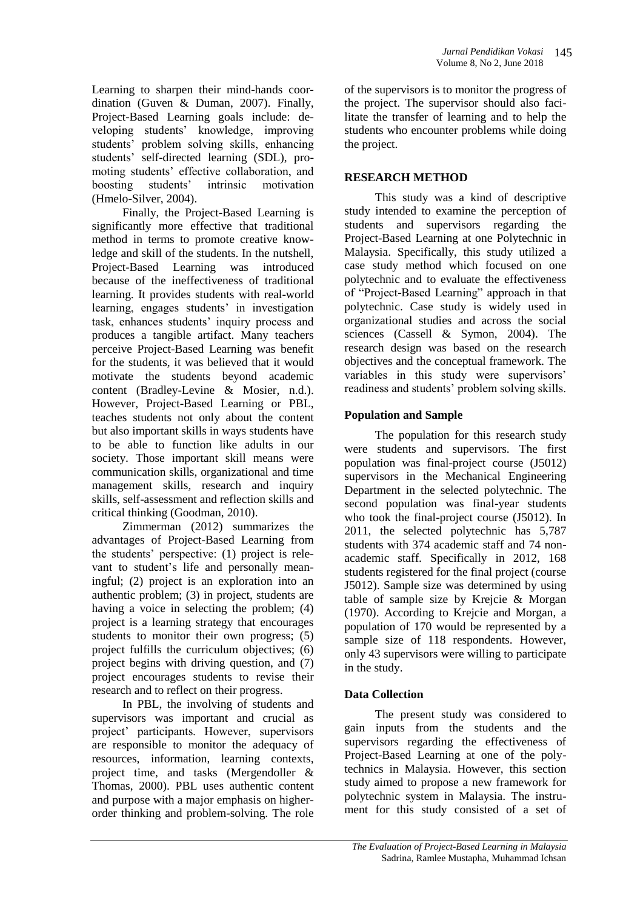Learning to sharpen their mind-hands coordination (Guven & Duman, 2007). Finally, Project-Based Learning goals include: developing students' knowledge, improving students' problem solving skills, enhancing students' self-directed learning (SDL), promoting students' effective collaboration, and boosting students' intrinsic motivation (Hmelo-Silver, 2004).

Finally, the Project-Based Learning is significantly more effective that traditional method in terms to promote creative knowledge and skill of the students. In the nutshell, Project-Based Learning was introduced because of the ineffectiveness of traditional learning. It provides students with real-world learning, engages students' in investigation task, enhances students' inquiry process and produces a tangible artifact. Many teachers perceive Project-Based Learning was benefit for the students, it was believed that it would motivate the students beyond academic content (Bradley-Levine & Mosier, n.d.). However, Project-Based Learning or PBL, teaches students not only about the content but also important skills in ways students have to be able to function like adults in our society. Those important skill means were communication skills, organizational and time management skills, research and inquiry skills, self-assessment and reflection skills and critical thinking (Goodman, 2010).

Zimmerman (2012) summarizes the advantages of Project-Based Learning from the students' perspective: (1) project is relevant to student's life and personally meaningful; (2) project is an exploration into an authentic problem; (3) in project, students are having a voice in selecting the problem; (4) project is a learning strategy that encourages students to monitor their own progress; (5) project fulfills the curriculum objectives; (6) project begins with driving question, and (7) project encourages students to revise their research and to reflect on their progress.

In PBL, the involving of students and supervisors was important and crucial as project' participants. However, supervisors are responsible to monitor the adequacy of resources, information, learning contexts, project time, and tasks (Mergendoller & Thomas, 2000). PBL uses authentic content and purpose with a major emphasis on higherorder thinking and problem-solving. The role

of the supervisors is to monitor the progress of the project. The supervisor should also facilitate the transfer of learning and to help the students who encounter problems while doing the project.

## **RESEARCH METHOD**

This study was a kind of descriptive study intended to examine the perception of students and supervisors regarding the Project-Based Learning at one Polytechnic in Malaysia. Specifically, this study utilized a case study method which focused on one polytechnic and to evaluate the effectiveness of "Project-Based Learning" approach in that polytechnic. Case study is widely used in organizational studies and across the social sciences (Cassell & Symon, 2004). The research design was based on the research objectives and the conceptual framework. The variables in this study were supervisors' readiness and students' problem solving skills.

## **Population and Sample**

The population for this research study were students and supervisors. The first population was final-project course (J5012) supervisors in the Mechanical Engineering Department in the selected polytechnic. The second population was final-year students who took the final-project course (J5012). In 2011, the selected polytechnic has 5,787 students with 374 academic staff and 74 nonacademic staff. Specifically in 2012, 168 students registered for the final project (course J5012). Sample size was determined by using table of sample size by Krejcie & Morgan (1970). According to Krejcie and Morgan, a population of 170 would be represented by a sample size of 118 respondents. However, only 43 supervisors were willing to participate in the study.

# **Data Collection**

The present study was considered to gain inputs from the students and the supervisors regarding the effectiveness of Project-Based Learning at one of the polytechnics in Malaysia. However, this section study aimed to propose a new framework for polytechnic system in Malaysia. The instrument for this study consisted of a set of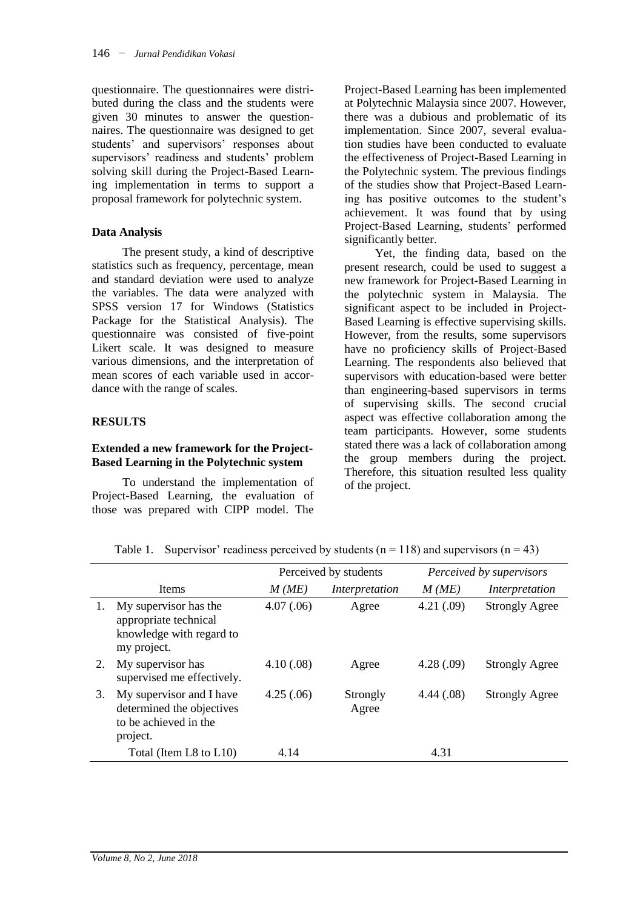questionnaire. The questionnaires were distributed during the class and the students were given 30 minutes to answer the questionnaires. The questionnaire was designed to get students' and supervisors' responses about supervisors' readiness and students' problem solving skill during the Project-Based Learning implementation in terms to support a proposal framework for polytechnic system.

#### **Data Analysis**

The present study, a kind of descriptive statistics such as frequency, percentage, mean and standard deviation were used to analyze the variables. The data were analyzed with SPSS version 17 for Windows (Statistics Package for the Statistical Analysis). The questionnaire was consisted of five-point Likert scale. It was designed to measure various dimensions, and the interpretation of mean scores of each variable used in accordance with the range of scales.

## **RESULTS**

## **Extended a new framework for the Project-Based Learning in the Polytechnic system**

To understand the implementation of Project-Based Learning, the evaluation of those was prepared with CIPP model. The Project-Based Learning has been implemented at Polytechnic Malaysia since 2007. However, there was a dubious and problematic of its implementation. Since 2007, several evaluation studies have been conducted to evaluate the effectiveness of Project-Based Learning in the Polytechnic system. The previous findings of the studies show that Project-Based Learning has positive outcomes to the student's achievement. It was found that by using Project-Based Learning, students' performed significantly better.

Yet, the finding data, based on the present research, could be used to suggest a new framework for Project-Based Learning in the polytechnic system in Malaysia. The significant aspect to be included in Project-Based Learning is effective supervising skills. However, from the results, some supervisors have no proficiency skills of Project-Based Learning. The respondents also believed that supervisors with education-based were better than engineering-based supervisors in terms of supervising skills. The second crucial aspect was effective collaboration among the team participants. However, some students stated there was a lack of collaboration among the group members during the project. Therefore, this situation resulted less quality of the project.

|    |                                                                                            | Perceived by students |                   | Perceived by supervisors |                       |
|----|--------------------------------------------------------------------------------------------|-----------------------|-------------------|--------------------------|-----------------------|
|    | Items                                                                                      | M(ME)                 | Interpretation    | M(ME)                    | Interpretation        |
| 1. | My supervisor has the<br>appropriate technical<br>knowledge with regard to<br>my project.  | 4.07(.06)             | Agree             | 4.21(.09)                | <b>Strongly Agree</b> |
| 2. | My supervisor has<br>supervised me effectively.                                            | 4.10(.08)             | Agree             | 4.28(.09)                | <b>Strongly Agree</b> |
| 3. | My supervisor and I have<br>determined the objectives<br>to be achieved in the<br>project. | 4.25(.06)             | Strongly<br>Agree | 4.44(.08)                | <b>Strongly Agree</b> |
|    | Total (Item L8 to L10)                                                                     | 4.14                  |                   | 4.31                     |                       |

Table 1. Supervisor' readiness perceived by students  $(n = 118)$  and supervisors  $(n = 43)$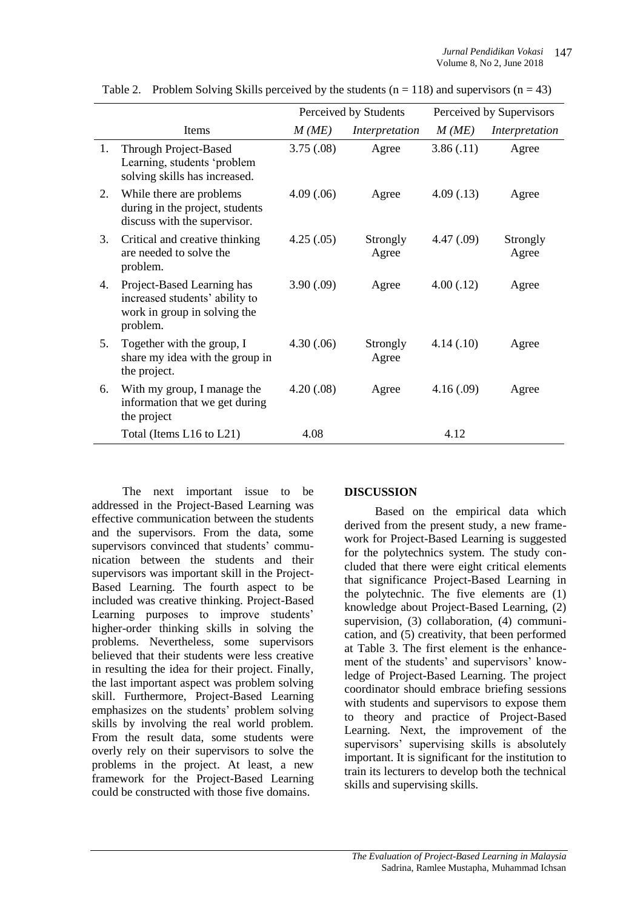|    |                                                                                                          | Perceived by Students |                   | Perceived by Supervisors |                   |
|----|----------------------------------------------------------------------------------------------------------|-----------------------|-------------------|--------------------------|-------------------|
|    | <b>Items</b>                                                                                             | M(ME)                 | Interpretation    | M(ME)                    | Interpretation    |
| 1. | Through Project-Based<br>Learning, students 'problem<br>solving skills has increased.                    | 3.75(.08)             | Agree             | 3.86(.11)                | Agree             |
| 2. | While there are problems<br>during in the project, students<br>discuss with the supervisor.              | 4.09(.06)             | Agree             | 4.09(0.13)               | Agree             |
| 3. | Critical and creative thinking<br>are needed to solve the<br>problem.                                    | 4.25(.05)             | Strongly<br>Agree | 4.47(.09)                | Strongly<br>Agree |
| 4. | Project-Based Learning has<br>increased students' ability to<br>work in group in solving the<br>problem. | 3.90(.09)             | Agree             | 4.00(0.12)               | Agree             |
| 5. | Together with the group, I<br>share my idea with the group in<br>the project.                            | 4.30(.06)             | Strongly<br>Agree | 4.14(0.10)               | Agree             |
| 6. | With my group, I manage the<br>information that we get during<br>the project                             | 4.20(.08)             | Agree             | 4.16(.09)                | Agree             |
|    | Total (Items L16 to L21)                                                                                 | 4.08                  |                   | 4.12                     |                   |

Table 2. Problem Solving Skills perceived by the students ( $n = 118$ ) and supervisors ( $n = 43$ )

The next important issue to be addressed in the Project-Based Learning was effective communication between the students and the supervisors. From the data, some supervisors convinced that students' communication between the students and their supervisors was important skill in the Project-Based Learning. The fourth aspect to be included was creative thinking. Project-Based Learning purposes to improve students' higher-order thinking skills in solving the problems. Nevertheless, some supervisors believed that their students were less creative in resulting the idea for their project. Finally, the last important aspect was problem solving skill. Furthermore, Project-Based Learning emphasizes on the students' problem solving skills by involving the real world problem. From the result data, some students were overly rely on their supervisors to solve the problems in the project. At least, a new framework for the Project-Based Learning could be constructed with those five domains.

## **DISCUSSION**

Based on the empirical data which derived from the present study, a new framework for Project-Based Learning is suggested for the polytechnics system. The study concluded that there were eight critical elements that significance Project-Based Learning in the polytechnic. The five elements are (1) knowledge about Project-Based Learning, (2) supervision, (3) collaboration, (4) communication, and (5) creativity, that been performed at Table 3. The first element is the enhancement of the students' and supervisors' knowledge of Project-Based Learning. The project coordinator should embrace briefing sessions with students and supervisors to expose them to theory and practice of Project-Based Learning. Next, the improvement of the supervisors' supervising skills is absolutely important. It is significant for the institution to train its lecturers to develop both the technical skills and supervising skills.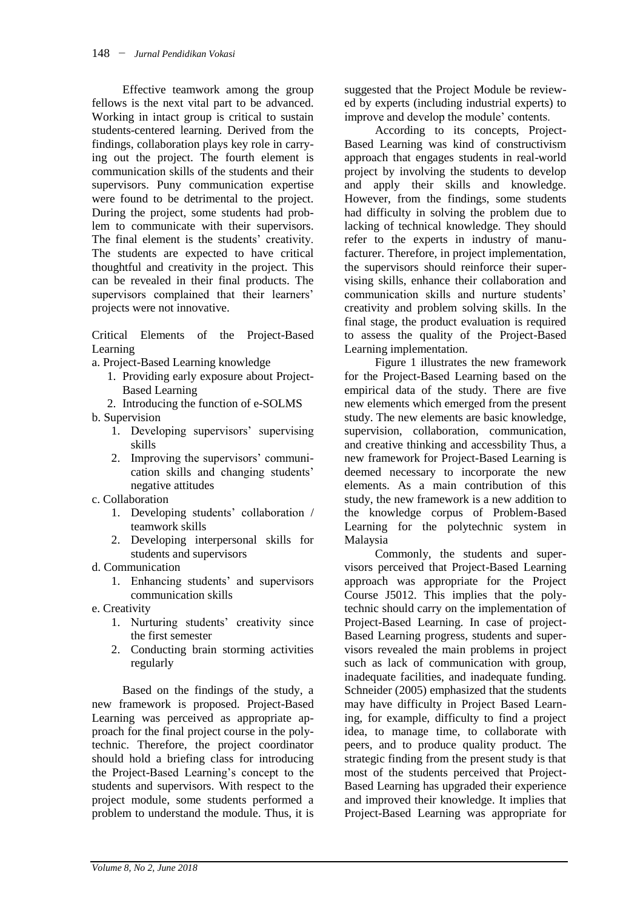Effective teamwork among the group fellows is the next vital part to be advanced. Working in intact group is critical to sustain students-centered learning. Derived from the findings, collaboration plays key role in carrying out the project. The fourth element is communication skills of the students and their supervisors. Puny communication expertise were found to be detrimental to the project. During the project, some students had problem to communicate with their supervisors. The final element is the students' creativity. The students are expected to have critical thoughtful and creativity in the project. This can be revealed in their final products. The supervisors complained that their learners' projects were not innovative.

Critical Elements of the Project-Based Learning

- a. Project-Based Learning knowledge
	- 1. Providing early exposure about Project-Based Learning
	- 2. Introducing the function of e-SOLMS
- b. Supervision
	- 1. Developing supervisors' supervising skills
	- 2. Improving the supervisors' communication skills and changing students' negative attitudes
- c. Collaboration
	- 1. Developing students' collaboration / teamwork skills
	- 2. Developing interpersonal skills for students and supervisors
- d. Communication
	- 1. Enhancing students' and supervisors communication skills
- e. Creativity
	- 1. Nurturing students' creativity since the first semester
	- 2. Conducting brain storming activities regularly

Based on the findings of the study, a new framework is proposed. Project-Based Learning was perceived as appropriate approach for the final project course in the polytechnic. Therefore, the project coordinator should hold a briefing class for introducing the Project-Based Learning's concept to the students and supervisors. With respect to the project module, some students performed a problem to understand the module. Thus, it is

suggested that the Project Module be reviewed by experts (including industrial experts) to improve and develop the module' contents.

According to its concepts, Project-Based Learning was kind of constructivism approach that engages students in real-world project by involving the students to develop and apply their skills and knowledge. However, from the findings, some students had difficulty in solving the problem due to lacking of technical knowledge. They should refer to the experts in industry of manufacturer. Therefore, in project implementation, the supervisors should reinforce their supervising skills, enhance their collaboration and communication skills and nurture students' creativity and problem solving skills. In the final stage, the product evaluation is required to assess the quality of the Project-Based Learning implementation.

Figure 1 illustrates the new framework for the Project-Based Learning based on the empirical data of the study. There are five new elements which emerged from the present study. The new elements are basic knowledge, supervision, collaboration, communication, and creative thinking and accessbility Thus, a new framework for Project-Based Learning is deemed necessary to incorporate the new elements. As a main contribution of this study, the new framework is a new addition to the knowledge corpus of Problem-Based Learning for the polytechnic system in Malaysia

Commonly, the students and supervisors perceived that Project-Based Learning approach was appropriate for the Project Course J5012. This implies that the polytechnic should carry on the implementation of Project-Based Learning. In case of project-Based Learning progress, students and supervisors revealed the main problems in project such as lack of communication with group, inadequate facilities, and inadequate funding. Schneider (2005) emphasized that the students may have difficulty in Project Based Learning, for example, difficulty to find a project idea, to manage time, to collaborate with peers, and to produce quality product. The strategic finding from the present study is that most of the students perceived that Project-Based Learning has upgraded their experience and improved their knowledge. It implies that Project-Based Learning was appropriate for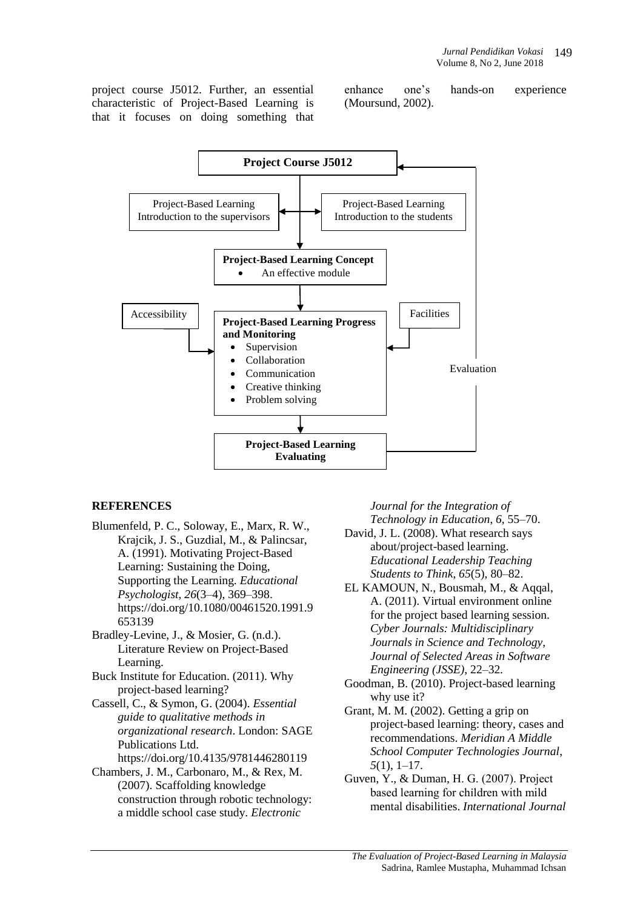project course J5012. Further, an essential characteristic of Project-Based Learning is that it focuses on doing something that enhance one's hands-on experience (Moursund, 2002).



## **REFERENCES**

- Blumenfeld, P. C., Soloway, E., Marx, R. W., Krajcik, J. S., Guzdial, M., & Palincsar, A. (1991). Motivating Project-Based Learning: Sustaining the Doing, Supporting the Learning. *Educational Psychologist*, *26*(3–4), 369–398. https://doi.org/10.1080/00461520.1991.9 653139
- Bradley-Levine, J., & Mosier, G. (n.d.). Literature Review on Project-Based Learning.
- Buck Institute for Education. (2011). Why project-based learning?
- Cassell, C., & Symon, G. (2004). *Essential guide to qualitative methods in organizational research*. London: SAGE Publications Ltd.
	- https://doi.org/10.4135/9781446280119
- Chambers, J. M., Carbonaro, M., & Rex, M. (2007). Scaffolding knowledge construction through robotic technology: a middle school case study. *Electronic*

*Journal for the Integration of Technology in Education*, *6*, 55–70.

- David, J. L. (2008). What research says about/project-based learning. *Educational Leadership Teaching Students to Think*, *65*(5), 80–82.
- EL KAMOUN, N., Bousmah, M., & Aqqal, A. (2011). Virtual environment online for the project based learning session. *Cyber Journals: Multidisciplinary Journals in Science and Technology, Journal of Selected Areas in Software Engineering (JSSE)*, 22–32.
- Goodman, B. (2010). Project-based learning why use it?
- Grant, M. M. (2002). Getting a grip on project-based learning: theory, cases and recommendations. *Meridian A Middle School Computer Technologies Journal*, *5*(1), 1–17.
- Guven, Y., & Duman, H. G. (2007). Project based learning for chi̇ldren with mild mental disabilities. *International Journal*